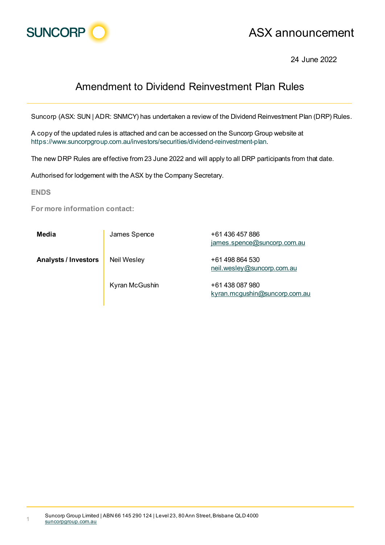

## ASX announcement

24 June 2022

## Amendment to Dividend Reinvestment Plan Rules

Suncorp (ASX: SUN | ADR: SNMCY) has undertaken a review of the Dividend Reinvestment Plan (DRP) Rules.

A copy of the updated rules is attached and can be accessed on the Suncorp Group website at https://www.suncorpgroup.com.au/investors/securities/dividend-reinvestment-plan.

The new DRP Rules are effective from 23 June 2022 and will apply to all DRP participants from that date.

Authorised for lodgement with the ASX by the Company Secretary.

**ENDS**

**For more information contact:**

| Media                       | James Spence       | +61 436 457 886<br>james.spence@suncorp.com.au   |
|-----------------------------|--------------------|--------------------------------------------------|
| <b>Analysts / Investors</b> | <b>Neil Wesley</b> | +61 498 864 530<br>neil.wesley@suncorp.com.au    |
|                             | Kyran McGushin     | +61 438 087 980<br>kyran.mcqushin@suncorp.com.au |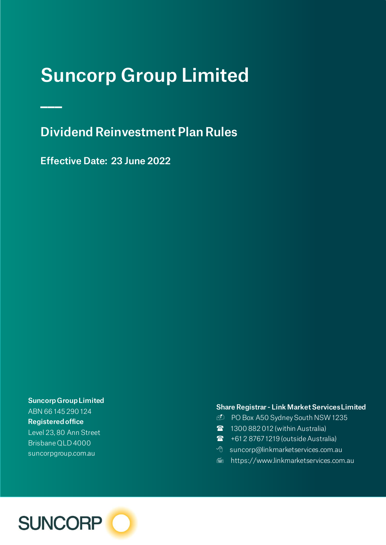# Suncorp Group Limited

Dividend Reinvestment Plan Rules

Effective Date: 23 June 2022

 $\mathbb{R}^2$ 

Suncorp Group Limited ABN 66 145 290 124 Registered office Level 23, 80 Ann Street Brisbane QLD 4000 suncorpgroup.com.au

#### Share Registrar - Link Market Services Limited

- D PO Box A50 Sydney South NSW 1235
- **1300 882 012 (within Australia)**
- **1** +61 2 8767 1219 (outside Australia)
- <sup>t</sup> suncorp@linkmarketservices.com.au
- <del>■</del> https://www.linkmarketservices.com.au

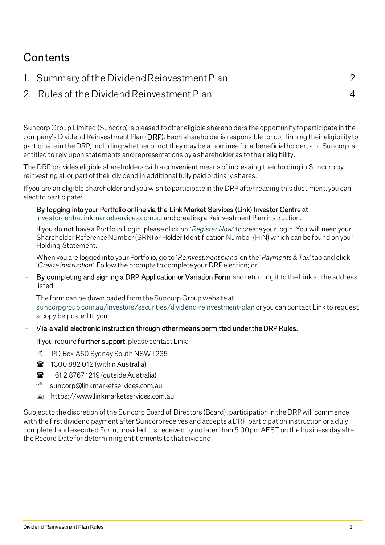## **Contents**

| 1. Summary of the Dividend Reinvestment Plan |  |
|----------------------------------------------|--|
| 2. Rules of the Dividend Reinvestment Plan   |  |

Suncorp Group Limited (Suncorp) is pleased to offer eligible shareholders the opportunity to participate in the company's Dividend Reinvestment Plan (DRP). Each shareholder is responsible for confirming their eligibility to participate in the DRP, including whether or not they may be a nominee for a beneficial holder, and Suncorp is entitled to rely upon statements and representations by a shareholder as to their eligibility.

The DRP provides eligible shareholders with a convenient means of increasing their holding in Suncorp by reinvesting all or part of their dividend in additional fully paid ordinary shares.

If you are an eligible shareholder and you wish to participate in the DRP after reading this document, you can elect to participate:

− By logging into your Portfolio online via the Link Market Services (Link) Investor Centre at [investorcentre.linkmarketservices.com.au](https://investorcentre.linkmarketservices.com.au/Login/Login) and creating a Reinvestment Plan instruction.

If you do not have a Portfolio Login, please click on '*[Register Now](https://investorcentre.linkmarketservices.com.au/OpenAccess/ValidateHolding)'*to create your login. You will need your Shareholder Reference Number (SRN) or Holder Identification Number (HIN) which can be found on your Holding Statement.

When you are logged into your Portfolio, go to '*Reinvestment plans'* on the '*Payments & Tax'* tab and click '*Create instruction'*. Follow the prompts to complete your DRP election; or

By completing and signing a DRP Application or Variation Form and returning it to the Link at the address listed.

The form can be downloaded from the Suncorp Group website at [suncorpgroup.com.au/investors/securities/dividend-reinvestment-plan](http://www.suncorpgroup.com.au/investors/securities/dividend-reinvestment-plan) or you can contact Link to request a copy be posted to you.

- − Via a valid electronic instruction through other means permitted under the DRP Rules.
- If you require further support, please contact Link:
	- D PO Box A50 Sydney South NSW 1235
	- **1300 882 012 (within Australia)**
	- $\mathbf{F}$  +61 2 8767 1219 (outside Australia)
	- suncorp@linkmarketservices.com.au
	- <del>■</del> https://www.linkmarketservices.com.au

Subject to the discretion of the Suncorp Board of Directors (Board), participation in the DRP will commence with the first dividend payment after Suncorp receives and accepts a DRP participation instruction or a duly completed and executed Form, provided it is received by no later than 5.00pm AEST on the business day after the Record Date for determining entitlements to that dividend.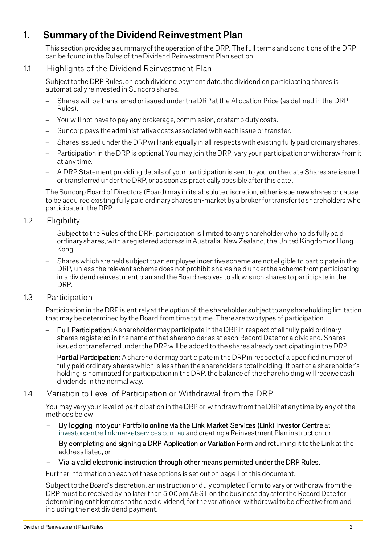### 1. Summary of the Dividend Reinvestment Plan

This section provides a summary of the operation of the DRP. The full terms and conditions of the DRP can be found in the Rules of the Dividend Reinvestment Plan section.

#### 1.1 Highlights of the Dividend Reinvestment Plan

Subject to the DRP Rules, on each dividend payment date, the dividend on participating shares is automatically reinvested in Suncorp shares.

- Shares will be transferred or issued under the DRP at the Allocation Price (as defined in the DRP Rules).
- − You will not have to pay any brokerage, commission, or stamp duty costs.
- Suncorp pays the administrative costs associated with each issue or transfer.
- Shares issued under the DRP will rank equally in all respects with existing fully paid ordinary shares.
- Participation in the DRP is optional. You may join the DRP, vary your participation or withdraw from it at any time.
- − A DRP Statement providing details of your participation is sent to you on the date Shares are issued or transferred under the DRP, or as soon as practically possible after this date.

The Suncorp Board of Directors (Board) may in its absolute discretion, either issue new shares or cause to be acquired existing fully paid ordinary shares on-market by a broker for transfer to shareholders who participate in the DRP.

#### 1.2 Eligibility

- Subject to the Rules of the DRP, participation is limited to any shareholder who holds fully paid ordinary shares, with a registered address in Australia, New Zealand, the United Kingdom or Hong Kong.
- Shares which are held subject to an employee incentive scheme are not eligible to participate in the DRP, unless the relevant scheme does not prohibit shares held under the scheme from participating in a dividend reinvestment plan and the Board resolves to allow such shares to participate in the DRP.

#### 1.3 Participation

Participation in the DRP is entirely at the option of the shareholder subject to any shareholding limitation that may be determined by the Board from time to time. There are two types of participation.

- Full Participation: A shareholder may participate in the DRP in respect of all fully paid ordinary shares registered in the name of that shareholder as at each Record Date for a dividend. Shares issued or transferredunder the DRP will be added to the shares already participating in the DRP.
- Partial Participation: A shareholder may participate in the DRP in respect of a specified number of fully paid ordinary shares which is less than the shareholder's total holding. If part of a shareholder's holding is nominated for participation in the DRP, the balance of the shareholding will receive cash dividends in the normal way.

#### 1.4 Variation to Level of Participation or Withdrawal from the DRP

You may vary your level of participation in the DRP or withdraw from the DRP at any time by any of the methods below:

- By logging into your Portfolio online via the Link Market Services (Link) Investor Centre at [investorcentre.linkmarketservices.com.au](http://www.investorcentre.linkmarketservices.com.au/) and creating a Reinvestment Plan instruction, or
- By completing and signing a DRP Application or Variation Form and returning it to the Link at the address listed, or
- − Via a valid electronic instruction through other means permitted under the DRP Rules.

Further information on each of these options is set out on page 1 of this document.

Subject to the Board's discretion, an instruction or duly completed Form to vary or withdraw from the DRP must be received by no later than 5.00pm AEST on the business day after the Record Date for determining entitlements to the next dividend, for the variation or withdrawal to be effective from and including the next dividend payment.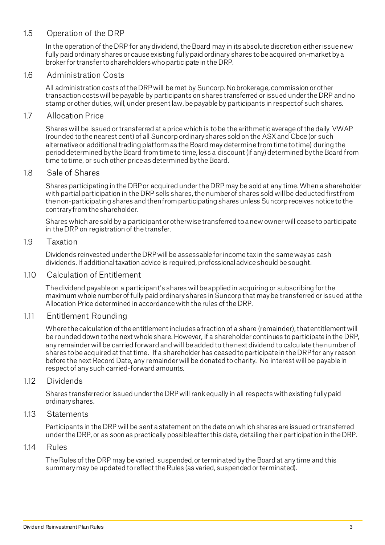#### 1.5 Operation of the DRP

In the operation of the DRP for any dividend, the Board may in its absolute discretion either issue new fully paid ordinary shares or cause existing fully paid ordinary shares to be acquired on-market by a broker for transfer to shareholders who participate in the DRP.

#### 16 Administration Costs

All administration costs of the DRP will be met by Suncorp. No brokerage, commission or other transaction costs will be payable by participants on shares transferred or issued under the DRP and no stamp or other duties, will, under present law, be payable by participants in respect of such shares.

#### 1.7 Allocation Price

Shares will be issued or transferred at a price which is to be the arithmetic average of the daily VWAP (rounded to the nearest cent) of all Suncorp ordinary shares sold on the ASXand Cboe (or such alternative or additional trading platform as the Board may determine from time to time) during the period determined by the Board from time to time, less a discount (if any) determined by the Board from time to time, or such other price as determined by the Board.

#### 1.8 Sale of Shares

Shares participating in the DRP or acquired under the DRP may be sold at any time. When a shareholder with partial participation in the DRP sells shares, the number of shares sold will be deducted first from the non-participating shares and then from participating shares unless Suncorp receives notice to the contrary from the shareholder.

Shares which are sold by a participant or otherwise transferred to a new owner will cease to participate in the DRP on registration of the transfer.

#### 1.9 Taxation

Dividends reinvested under the DRP will be assessable for income tax in the same way as cash dividends. If additional taxation advice is required, professional advice should be sought.

#### 1.10 Calculation of Entitlement

The dividend payable on a participant's shares will be applied in acquiring or subscribing for the maximum whole number of fully paid ordinary shares in Suncorp that may be transferred or issued at the Allocation Price determined in accordance with the rules of the DRP.

#### 1.11 Entitlement Rounding

Where the calculation of the entitlement includes a fraction of a share (remainder), that entitlement will be rounded down to the next whole share. However, if a shareholder continues to participate in the DRP, any remainder will be carried forward and will be added to the next dividend to calculate the number of shares to be acquired at that time. If a shareholder has ceased to participate in the DRP for any reason before the next Record Date, any remainder will be donated to charity. No interest will be payable in respect of any such carried-forward amounts.

#### 1.12 Dividends

Shares transferred or issued under the DRP will rank equally in all respects with existing fully paid ordinary shares.

#### 1.13 Statements

Participants in the DRP will be sent a statement on the date on which shares are issued or transferred under the DRP, or as soon as practically possible after this date, detailing their participation in the DRP.

#### 1.14 Rules

The Rules of the DRP may be varied, suspended,or terminated by the Board at any time and this summary may be updated to reflect the Rules (as varied, suspended or terminated).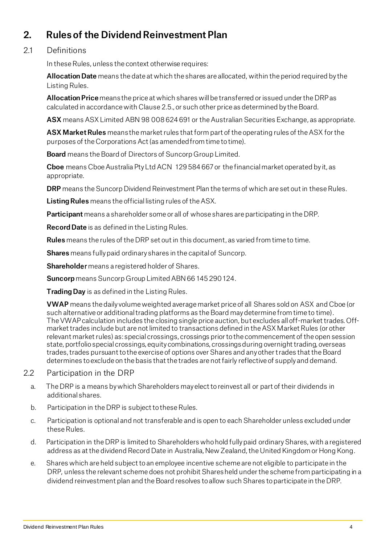## 2. Rules of the Dividend Reinvestment Plan

#### 21 Definitions

In these Rules, unless the context otherwise requires:

Allocation Date means the date at which the shares are allocated, within the period required by the Listing Rules.

Allocation Price means the price at which shares will be transferred or issued under the DRP as calculated in accordance with Clause 2.5., or such other price as determined by the Board.

ASX means ASX Limited ABN 98 008 624 691 or the Australian Securities Exchange, as appropriate.

ASX Market Rules means the market rules that form part of the operating rules of the ASX for the purposes of the Corporations Act (as amended from time to time).

Board means the Board of Directors of Suncorp Group Limited.

Cboe means Cboe Australia Pty Ltd ACN 129 584 667 or the financial market operated by it, as appropriate.

DRP means the Suncorp Dividend Reinvestment Plan the terms of which are set out in these Rules.

Listing Rules means the official listing rules of the ASX.

**Participant** means a shareholder some or all of whose shares are participating in the DRP.

Record Date is as defined in the Listing Rules.

Rules means the rules of the DRP set out in this document, as varied from time to time.

Shares means fully paid ordinary shares in the capital of Suncorp.

Shareholder means a registered holder of Shares.

Suncorp means Suncorp Group Limited ABN 66 145 290 124.

Trading Day is as defined in the Listing Rules.

VWAP means the daily volume weighted average market price of all Shares sold on ASX and Cboe (or such alternative or additional trading platforms as the Board may determine from time to time). The VWAP calculation includes the closing single price auction, but excludes all off-market trades. Offmarket trades include but are not limited to transactions defined in the ASX Market Rules (or other relevant market rules) as: special crossings, crossings prior to the commencement of the open session state, portfolio special crossings, equity combinations, crossings during overnight trading, overseas trades, trades pursuant to the exercise of options over Shares and any other trades that the Board determines to exclude on the basis that the trades are not fairly reflective of supply and demand.

#### 2.2 Participation in the DRP

- a. The DRP is a means by which Shareholders may elect to reinvest all or part of their dividends in additional shares.
- b. Participation in the DRP is subject to these Rules.
- c. Participation is optional and not transferable and is open to each Shareholder unless excluded under these Rules.
- d. Participation in the DRP is limited to Shareholders who hold fully paid ordinaryShares, with a registered address as at the dividend Record Date in Australia, New Zealand, the United Kingdom or Hong Kong.
- e. Shares which are held subject to an employee incentive scheme are not eligible to participate in the DRP, unless the relevant scheme does not prohibit Shares held under the scheme from participating in a dividend reinvestment plan and the Board resolves to allow such Shares to participate in the DRP.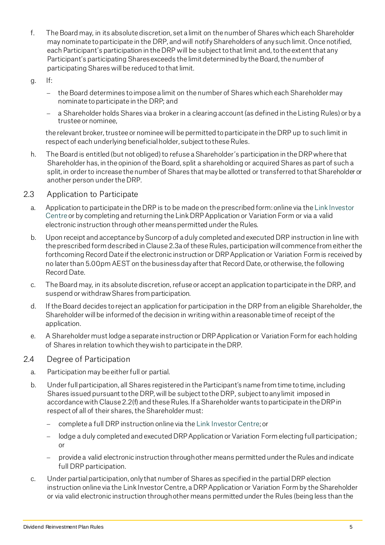- f. The Board may, in its absolute discretion, set a limit on the number of Shares which each Shareholder may nominate to participate in the DRP, and will notify Shareholders of any such limit. Once notified, each Participant's participation in the DRP will be subject to that limit and, to the extent that any Participant's participating Shares exceeds the limit determined by the Board, the number of participating Shares will be reduced to that limit.
- $g.$  If:
	- − the Board determines to impose a limit on the number of Shares which each Shareholder may nominate to participate in the DRP; and
	- a Shareholder holds Shares via a broker in a clearing account (as defined in the Listing Rules) or by a trustee or nominee,

the relevant broker, trustee or nominee will be permitted to participate in the DRP up to such limit in respect of each underlying beneficial holder, subject to these Rules.

- h. The Board is entitled (but not obliged) to refuse a Shareholder's participation in the DRP where that Shareholder has, in the opinion of the Board, split a shareholding or acquired Shares as part of such a split, in order to increase the number of Shares that may be allotted or transferred to that Shareholder or another person under the DRP.
- 2.3 Application to Participate
	- a. Application to participate in the DRP is to be made on the prescribed form:online via th[e Link Investor](https://investorcentre.linkmarketservices.com.au/Login/Login)  [Centre](https://investorcentre.linkmarketservices.com.au/Login/Login) or by completing and returning the Link DRP Application or Variation Form or via a valid electronic instruction through other means permitted under the Rules.
	- b. Upon receipt and acceptance by Suncorp of a duly completed and executed DRP instruction in line with the prescribed form described in Clause 2.3a of these Rules, participation will commence from either the forthcoming Record Date if the electronic instruction or DRPApplication or Variation Form is received by no later than 5.00pm AEST on the business day after that Record Date, or otherwise, the following Record Date.
	- c. The Board may, in its absolute discretion, refuse or accept an application to participate in the DRP, and suspend or withdraw Shares from participation.
	- d. If the Board decides to reject an application for participation in the DRP from an eligible Shareholder, the Shareholder will be informed of the decision in writing within a reasonable time of receipt of the application.
	- e. A Shareholder must lodge a separate instruction or DRP Application or Variation Form for each holding of Shares in relation to which they wish to participate in the DRP.

#### 2.4 Degree of Participation

- a. Participation may be either full or partial.
- b. Under full participation, all Shares registered in the Participant's name from time to time, including Shares issued pursuant to the DRP, will be subject to the DRP, subject to any limit imposed in accordance with Clause 2.2(f) and these Rules. If a Shareholder wants to participate in the DRP in respect of all of their shares, the Shareholder must:
	- − complete a full DRP instruction online via th[e Link Investor Centre](https://investorcentre.linkmarketservices.com.au/Login/Login); or
	- − lodge a duly completed and executed DRP Application or Variation Form electing full participation; or
	- − provide a valid electronic instruction through other means permitted under the Rules and indicate full DRP participation.
- c. Under partial participation, only that number of Shares as specified in the partial DRP election instruction online via the Link Investor Centre, a DRP Application or Variation Form by the Shareholder or via valid electronic instruction through other means permitted under the Rules (being less than the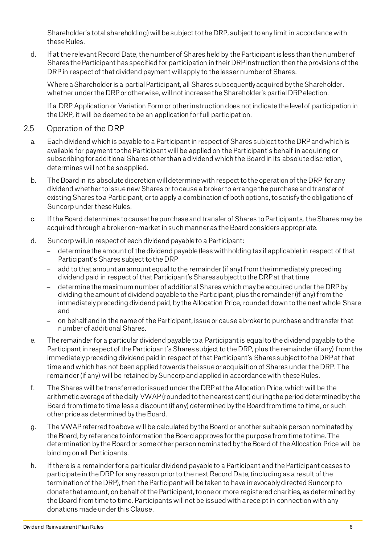Shareholder's total shareholding) willbe subject to the DRP, subject to any limit in accordance with these Rules.

d. If at the relevant Record Date, the number of Shares held by the Participant is less than the number of Shares the Participant has specified for participation in their DRPinstruction then the provisions of the DRP in respect of that dividend payment will apply to the lesser number of Shares.

Where a Shareholder is a partial Participant, all Shares subsequently acquired by the Shareholder, whether under the DRP or otherwise, will not increase the Shareholder's partial DRP election.

If a DRP Application or Variation Form or other instruction does not indicate the level of participation in the DRP, it will be deemed to be an application for full participation.

#### 2.5 Operation of the DRP

- a. Each dividend which is payable to a Participant in respect of Shares subject to the DRP and which is available for payment to the Participant will be applied on the Participant's behalf in acquiring or subscribing for additional Shares other than a dividend which the Board in its absolute discretion, determines will not be so applied.
- b. The Board in its absolute discretion will determine with respect to the operation of the DRP for any dividend whether to issue new Shares or to cause a broker to arrange the purchase and transfer of existing Shares to a Participant, or to apply a combination of both options, to satisfy the obligations of Suncorp under these Rules.
- c. If the Board determines to cause the purchase and transfer of Shares to Participants, the Shares may be acquired through a broker on-market in such manner as the Board considers appropriate.
- d. Suncorp will, in respect of each dividend payable to a Participant:
	- − determine the amount of the dividend payable (less withholding tax if applicable) in respect of that Participant's Shares subject to the DRP
	- add to that amount an amount equal to the remainder (if any) from the immediately preceding dividend paid in respect of that Participant's Shares subject to the DRP at that time
	- − determine the maximum number of additional Shares which may be acquired under the DRP by dividing the amount of dividend payable to the Participant, plus the remainder (if any) from the immediately preceding dividend paid, by the Allocation Price, rounded down to the next whole Share and
	- − on behalf and in the name of the Participant, issue or cause a broker to purchase and transfer that number of additional Shares.
- e. The remainder for a particular dividend payable to a Participant is equal to the dividend payable to the Participant in respect of the Participant's Shares subject to the DRP, plus the remainder (if any) from the immediately preceding dividend paid in respect of that Participant's Shares subjectto the DRP at that time and which has not been applied towards the issue or acquisition of Shares under the DRP.The remainder (if any) will be retained by Suncorp and applied in accordance with these Rules.
- f. The Shares will be transferred or issued under the DRP at the Allocation Price, which will be the arithmetic average of the daily VWAP (rounded to the nearest cent) during the period determined by the Board from time to time less a discount (if any) determined by the Board from time to time, or such other price as determined by the Board.
- g. The VWAP referred to above will be calculated by the Board or another suitable person nominated by the Board, by reference to information the Board approves for the purpose from time to time. The determination by the Board or some other person nominated by the Board of the Allocation Price will be binding on all Participants.
- h. If there is a remainder for a particular dividend payable to a Participant and the Participant ceases to participate in the DRP for any reason prior to the next Record Date, (including as a result of the termination of the DRP), then the Participant will be taken to have irrevocably directed Suncorp to donate that amount, on behalf of the Participant, to one or more registered charities, as determined by the Board from time to time. Participants will not be issued with a receipt in connection with any donations made under this Clause.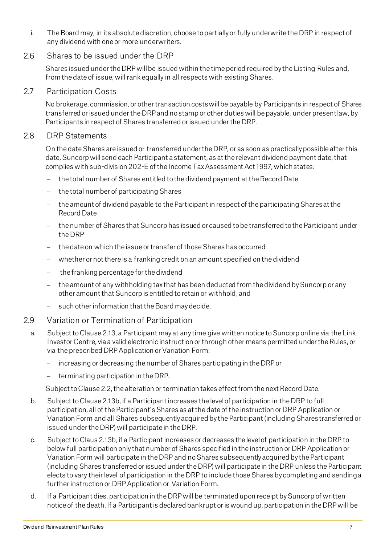i. The Board may, in its absolute discretion, choose to partially or fully underwrite the DRP in respect of any dividend with one or more underwriters.

#### 2.6 Shares to be issued under the DRP

Shares issued under the DRP will be issued within the time period required by the Listing Rules and, from the date of issue, will rank equally in all respects with existing Shares.

#### 2.7 Participation Costs

No brokerage, commission, or other transaction costs will be payable by Participants in respect of Shares transferred or issued under the DRP and no stamp or other duties will be payable, under present law, by Participants in respect of Shares transferred or issued under the DRP.

#### 2.8 DRP Statements

On the date Shares are issued or transferred under the DRP, or as soon as practically possible after this date, Suncorp will send each Participant a statement, as at the relevant dividend payment date, that complies with sub-division 202-E of the Income Tax Assessment Act 1997, which states:

- − the total number of Shares entitled to the dividend payment at the Record Date
- − the total number of participating Shares
- − the amount of dividend payable to the Participant in respect of the participating Shares at the Record Date
- − the number of Shares that Suncorp has issued or caused to be transferred to the Participant under the DRP
- − the date on which the issue or transfer of those Shares has occurred
- − whether or not there is a franking credit on an amount specified on the dividend
- the franking percentage for the dividend
- − the amount of any withholding tax that has been deducted from the dividend by Suncorp or any other amount that Suncorp is entitled to retain or withhold, and
- − such other information that the Board may decide.
- 2.9 Variation or Termination of Participation
	- a. Subject to Clause 2.13, a Participant may at any time give written notice to Suncorp online via the Link Investor Centre, via a valid electronic instruction or through other means permitted under the Rules, or via the prescribed DRP Application or Variation Form:
		- increasing or decreasing the number of Shares participating in the DRP or
		- − terminating participation in the DRP.

Subject to Clause 2.2, the alteration or termination takes effect from the next Record Date.

- b. Subject to Clause 2.13b, if a Participant increases the level of participation in the DRP to full participation, all of the Participant's Shares as at the date of the instruction or DRP Application or Variation Form and all Shares subsequently acquired by the Participant (including Shares transferred or issued under the DRP) will participate in the DRP.
- c. Subject to Claus 2.13b, if a Participant increases or decreases the level of participation in the DRP to below full participation only that number of Shares specified in the instruction or DRP Application or Variation Form will participate in the DRP and no Shares subsequently acquired by the Participant (including Shares transferred or issued under the DRP) will participate in the DRP unless the Participant elects to vary their level of participation in the DRP to include those Shares by completing and sending a further instruction or DRP Application or Variation Form.
- d. If a Participant dies, participation in the DRP will be terminated upon receipt by Suncorp of written notice of the death. If a Participant is declared bankrupt or is wound up, participation in the DRP will be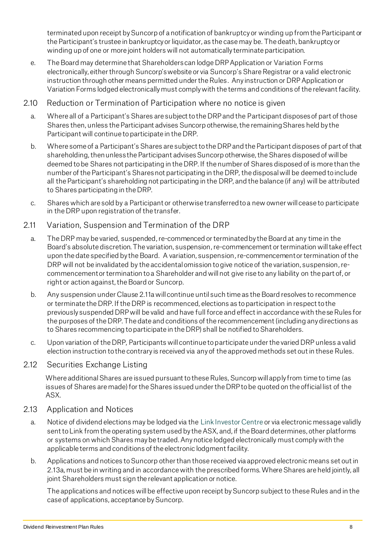terminated upon receipt by Suncorp of a notification of bankruptcy or winding up from the Participant or the Participant's trustee in bankruptcy or liquidator, as the case may be. The death, bankruptcy or winding up of one or more joint holders will not automatically terminate participation.

- e. The Board may determine that Shareholders can lodge DRP Application or Variation Forms electronically, either through Suncorp's website or via Suncorp's Share Registrar or a valid electronic instruction through other means permitted under the Rules. Any instruction or DRP Application or Variation Forms lodged electronically must comply with the terms and conditions of the relevant facility.
- 2.10 Reduction or Termination of Participation where no notice is given
	- a. Where all of a Participant's Shares are subject to the DRP and the Participant disposes of part of those Shares then, unless the Participant advises Suncorp otherwise, the remaining Shares held by the Participant will continue to participate in the DRP.
	- b. Where some of a Participant's Shares are subject to the DRP and the Participant disposes of part of that shareholding, then unless the Participant advises Suncorp otherwise, the Shares disposed of will be deemed to be Shares not participating in the DRP. If the number of Shares disposed of is more than the number of the Participant's Shares not participating in the DRP, the disposal will be deemed to include all the Participant's shareholding not participating in the DRP, and the balance (if any) will be attributed to Shares participating in the DRP.
	- c. Shares which are sold by a Participant or otherwise transferred to a new owner will cease to participate in the DRP upon registration of the transfer.
- 2.11 Variation, Suspension and Termination of the DRP
	- a. The DRP may be varied, suspended, re-commenced or terminated by the Board at any time in the Board's absolute discretion. The variation, suspension, re-commencement or termination will take effect upon the date specified by the Board. A variation, suspension, re-commencementor termination of the DRP will not be invalidated by the accidental omission to give notice of the variation, suspension, recommencementor termination to a Shareholder and will not give rise to any liability on the part of, or right or action against, the Board or Suncorp.
	- b. Any suspension under Clause 2.11a will continue until such time as the Board resolves to recommence or terminate the DRP. If the DRP is recommenced, elections as to participation in respect to the previously suspended DRP will be valid and have full force and effect in accordance with these Rules for the purposes of the DRP. The date and conditions of the recommencement (including any directions as to Shares recommencing to participate in the DRP) shall be notified to Shareholders.
	- c. Upon variation of the DRP, Participants will continue to participate under the varied DRPunless a valid election instruction to the contrary is received via any of the approved methods set out in these Rules.

#### 2.12 Securities Exchange Listing

Where additional Shares are issued pursuant to these Rules, Suncorp will apply from time to time (as issues of Shares are made) for the Shares issued under the DRP to be quoted on the official list of the ASX.

#### 2.13 Application and Notices

- a. Notice of dividend elections may be lodged via th[e Link Investor Centre](https://investorcentre.linkmarketservices.com.au/Login/Login) or via electronic message validly sent to Link from the operating system used by the ASX, and, if the Board determines, other platforms or systems on which Shares may be traded. Any notice lodged electronically must comply with the applicable terms and conditions of the electronic lodgment facility.
- b. Applications and notices to Suncorp other than those received via approved electronic means set out in 2.13a, must be in writing and in accordance with the prescribed forms.Where Shares are held jointly, all joint Shareholders must sign the relevant application or notice.

The applications and notices will be effective upon receipt by Suncorp subject to these Rules and in the case of applications, acceptance by Suncorp.